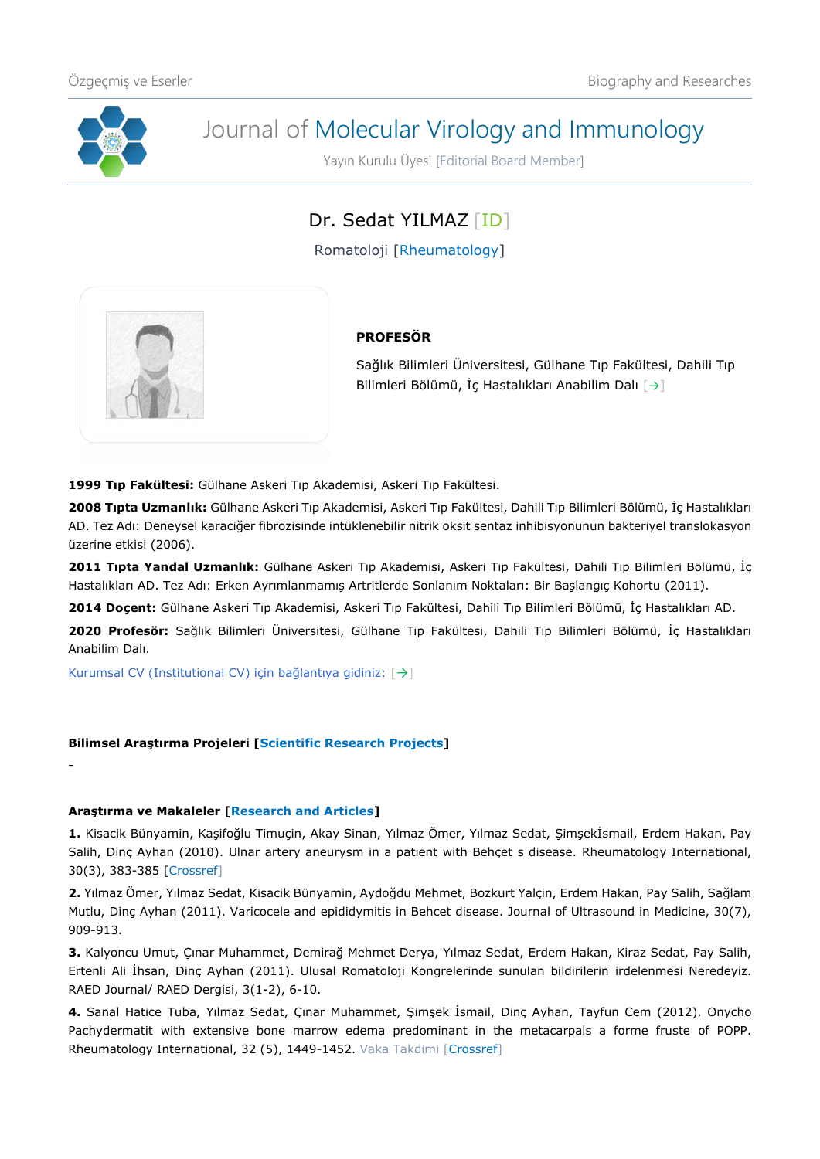

**-**

# Journal of Molecular Virology and Immunology

Yayın Kurulu Üyesi [Editorial Board Member]

## Dr. Sedat YILMAZ [\[ID\]](https://orcid.org/0000-0002-4691-3417)

Romatoloji [Rheumatology]



### **PROFESÖR**

Sağlık Bilimleri Üniversitesi, Gülhane Tıp Fakültesi, Dahili Tıp Bilimleri Bölümü, İç Hastalıkları Anabilim Dalı [[→](http://gulhanetip.sbu.edu.tr/Akademik/IcHastaliklariAnabilimDali)]

**1999 Tıp Fakültesi:** Gülhane Askeri Tıp Akademisi, Askeri Tıp Fakültesi.

**2008 Tıpta Uzmanlık:** Gülhane Askeri Tıp Akademisi, Askeri Tıp Fakültesi, Dahili Tıp Bilimleri Bölümü, İç Hastalıkları AD. Tez Adı: Deneysel karaciğer fibrozisinde intüklenebilir nitrik oksit sentaz inhibisyonunun bakteriyel translokasyon üzerine etkisi (2006).

**2011 Tıpta Yandal Uzmanlık:** Gülhane Askeri Tıp Akademisi, Askeri Tıp Fakültesi, Dahili Tıp Bilimleri Bölümü, İç Hastalıkları AD. Tez Adı: Erken Ayrımlanmamış Artritlerde Sonlanım Noktaları: Bir Başlangıç Kohortu (2011).

**2014 Doçent:** Gülhane Askeri Tıp Akademisi, Askeri Tıp Fakültesi, Dahili Tıp Bilimleri Bölümü, İç Hastalıkları AD.

**2020 Profesör:** Sağlık Bilimleri Üniversitesi, Gülhane Tıp Fakültesi, Dahili Tıp Bilimleri Bölümü, İç Hastalıkları Anabilim Dalı.

Kurumsal CV (Institutional CV) için bağlantıya gidiniz: [[→](https://dosya.sbu.edu.tr/CV/SEDATYILMAZ_1486.pdf)]

#### **Bilimsel Araştırma Projeleri [Scientific Research Projects]**

**Araştırma ve Makaleler [Research and Articles]**

**1.** Kisacik Bünyamin, Kaşifoğlu Timuçin, Akay Sinan, Yılmaz Ömer, Yılmaz Sedat, Şimşekİsmail, Erdem Hakan, Pay Salih, Dinç Ayhan (2010). Ulnar artery aneurysm in a patient with Behçet s disease. Rheumatology International, 30(3), 383-385 [\[Crossref\]](https://doi.org/10.1007/s00296-009-0951-2)

**2.** Yılmaz Ömer, Yılmaz Sedat, Kisacik Bünyamin, Aydoğdu Mehmet, Bozkurt Yalçin, Erdem Hakan, Pay Salih, Sağlam Mutlu, Dinç Ayhan (2011). Varicocele and epididymitis in Behcet disease. Journal of Ultrasound in Medicine, 30(7), 909-913.

**3.** Kalyoncu Umut, Çınar Muhammet, Demirağ Mehmet Derya, Yılmaz Sedat, Erdem Hakan, Kiraz Sedat, Pay Salih, Ertenli Ali İhsan, Dinç Ayhan (2011). Ulusal Romatoloji Kongrelerinde sunulan bildirilerin irdelenmesi Neredeyiz. RAED Journal/ RAED Dergisi, 3(1-2), 6-10.

**4.** Sanal Hatice Tuba, Yılmaz Sedat, Çınar Muhammet, Şimşek İsmail, Dinç Ayhan, Tayfun Cem (2012). Onycho Pachydermatit with extensive bone marrow edema predominant in the metacarpals a forme fruste of POPP. Rheumatology International, 32 (5), 1449-1452. Vaka Takdimi [\[Crossref\]](https://doi.org/10.1007/s00296-011-1914-y)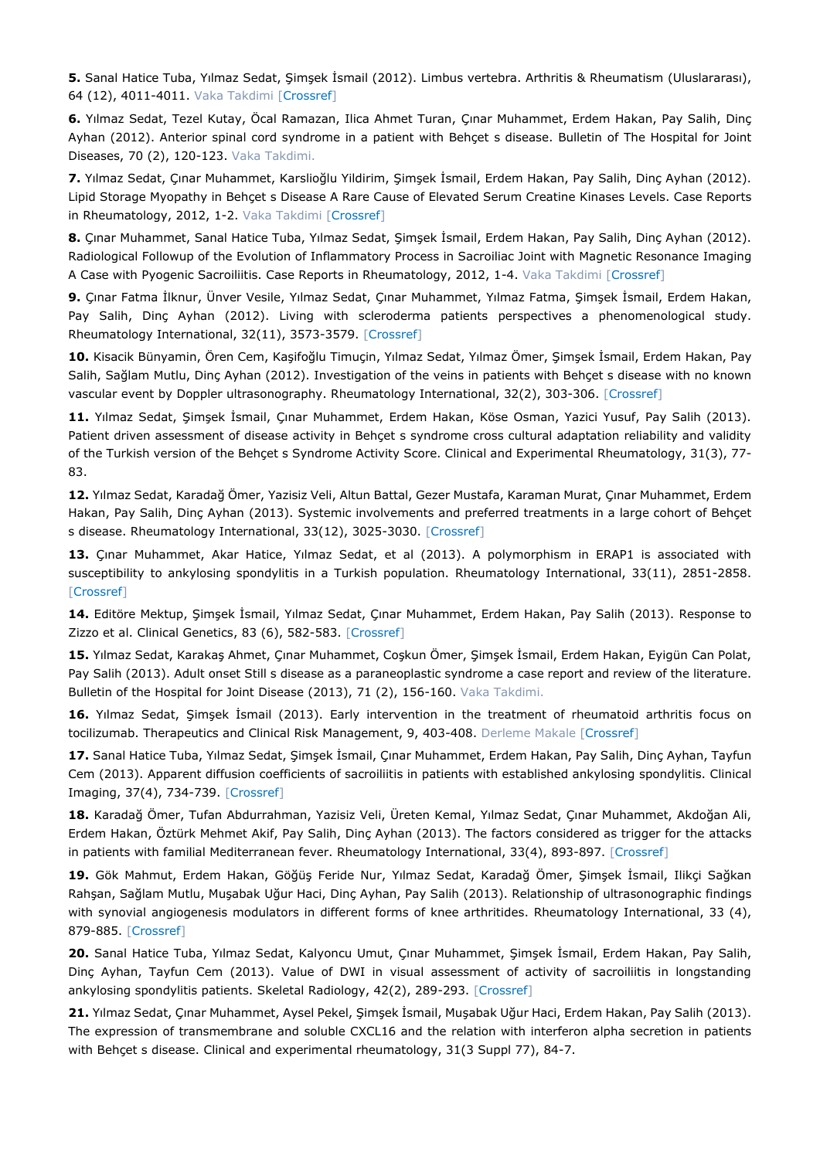**5.** Sanal Hatice Tuba, Yılmaz Sedat, Şimşek İsmail (2012). Limbus vertebra. Arthritis & Rheumatism (Uluslararası), 64 (12), 4011-4011. Vaka Takdimi [\[Crossref\]](https://doi.org/10.1002/art.34630)

**6.** Yılmaz Sedat, Tezel Kutay, Öcal Ramazan, Ilica Ahmet Turan, Çınar Muhammet, Erdem Hakan, Pay Salih, Dinç Ayhan (2012). Anterior spinal cord syndrome in a patient with Behçet s disease. Bulletin of The Hospital for Joint Diseases, 70 (2), 120-123. Vaka Takdimi.

**7.** Yılmaz Sedat, Çınar Muhammet, Karslioğlu Yildirim, Şimşek İsmail, Erdem Hakan, Pay Salih, Dinç Ayhan (2012). Lipid Storage Myopathy in Behçet s Disease A Rare Cause of Elevated Serum Creatine Kinases Levels. Case Reports in Rheumatology, 2012, 1-2. Vaka Takdimi [\[Crossref\]](https://doi.org/10.1155/2012/283259)

**8.** Çınar Muhammet, Sanal Hatice Tuba, Yılmaz Sedat, Şimşek İsmail, Erdem Hakan, Pay Salih, Dinç Ayhan (2012). Radiological Followup of the Evolution of Inflammatory Process in Sacroiliac Joint with Magnetic Resonance Imaging A Case with Pyogenic Sacroiliitis. Case Reports in Rheumatology, 2012, 1-4. Vaka Takdimi [\[Crossref\]](https://doi.org/10.1155/2012/509136)

**9.** Çınar Fatma İlknur, Ünver Vesile, Yılmaz Sedat, Çınar Muhammet, Yılmaz Fatma, Şimşek İsmail, Erdem Hakan, Pay Salih, Dinç Ayhan (2012). Living with scleroderma patients perspectives a phenomenological study. Rheumatology International, 32(11), 3573-3579. [\[Crossref\]](https://doi.org/10.1007/s00296-011-2230-2)

**10.** Kisacik Bünyamin, Ören Cem, Kaşifoğlu Timuçin, Yılmaz Sedat, Yılmaz Ömer, Şimşek İsmail, Erdem Hakan, Pay Salih, Sağlam Mutlu, Dinç Ayhan (2012). Investigation of the veins in patients with Behçet s disease with no known vascular event by Doppler ultrasonography. Rheumatology International, 32(2), 303-306. [\[Crossref\]](https://doi.org/10.1007/s00296-010-1603-2)

**11.** Yılmaz Sedat, Şimşek İsmail, Çınar Muhammet, Erdem Hakan, Köse Osman, Yazici Yusuf, Pay Salih (2013). Patient driven assessment of disease activity in Behçet s syndrome cross cultural adaptation reliability and validity of the Turkish version of the Behçet s Syndrome Activity Score. Clinical and Experimental Rheumatology, 31(3), 77- 83.

**12.** Yılmaz Sedat, Karadağ Ömer, Yazisiz Veli, Altun Battal, Gezer Mustafa, Karaman Murat, Çınar Muhammet, Erdem Hakan, Pay Salih, Dinç Ayhan (2013). Systemic involvements and preferred treatments in a large cohort of Behçet s disease. Rheumatology International, 33(12), 3025-3030. [\[Crossref\]](https://doi.org/10.1007/s00296-013-2830-0)

13. Çınar Muhammet, Akar Hatice, Yılmaz Sedat, et al (2013). A polymorphism in ERAP1 is associated with susceptibility to ankylosing spondylitis in a Turkish population. Rheumatology International, 33(11), 2851-2858. [\[Crossref\]](https://doi.org/10.1007/s00296-013-2824-y)

**14.** Editöre Mektup, Şimşek İsmail, Yılmaz Sedat, Çınar Muhammet, Erdem Hakan, Pay Salih (2013). Response to Zizzo et al. Clinical Genetics, 83 (6), 582-583. [\[Crossref\]](https://doi.org/10.1111/cge.12135)

**15.** Yılmaz Sedat, Karakaş Ahmet, Çınar Muhammet, Coşkun Ömer, Şimşek İsmail, Erdem Hakan, Eyigün Can Polat, Pay Salih (2013). Adult onset Still s disease as a paraneoplastic syndrome a case report and review of the literature. Bulletin of the Hospital for Joint Disease (2013), 71 (2), 156-160. Vaka Takdimi.

**16.** Yılmaz Sedat, Şimşek İsmail (2013). Early intervention in the treatment of rheumatoid arthritis focus on tocilizumab. Therapeutics and Clinical Risk Management, 9, 403-408. Derleme Makale [\[Crossref\]](https://doi.org/10.2147/TCRM.S35784)

**17.** Sanal Hatice Tuba, Yılmaz Sedat, Şimşek İsmail, Çınar Muhammet, Erdem Hakan, Pay Salih, Dinç Ayhan, Tayfun Cem (2013). Apparent diffusion coefficients of sacroiliitis in patients with established ankylosing spondylitis. Clinical Imaging, 37(4), 734-739. [\[Crossref\]](https://doi.org/10.1016/j.clinimag.2013.02.014)

**18.** Karadağ Ömer, Tufan Abdurrahman, Yazisiz Veli, Üreten Kemal, Yılmaz Sedat, Çınar Muhammet, Akdoğan Ali, Erdem Hakan, Öztürk Mehmet Akif, Pay Salih, Dinç Ayhan (2013). The factors considered as trigger for the attacks in patients with familial Mediterranean fever. Rheumatology International, 33(4), 893-897. [\[Crossref\]](https://doi.org/10.1007/s00296-012-2453-X)

**19.** Gök Mahmut, Erdem Hakan, Göğüş Feride Nur, Yılmaz Sedat, Karadağ Ömer, Şimşek İsmail, Ilikçi Sağkan Rahşan, Sağlam Mutlu, Muşabak Uğur Haci, Dinç Ayhan, Pay Salih (2013). Relationship of ultrasonographic findings with synovial angiogenesis modulators in different forms of knee arthritides. Rheumatology International, 33 (4), 879-885. [\[Crossref\]](https://doi.org/10.1007/s00296-012-2452-y)

**20.** Sanal Hatice Tuba, Yılmaz Sedat, Kalyoncu Umut, Çınar Muhammet, Şimşek İsmail, Erdem Hakan, Pay Salih, Dinç Ayhan, Tayfun Cem (2013). Value of DWI in visual assessment of activity of sacroiliitis in longstanding ankylosing spondylitis patients. Skeletal Radiology, 42(2), 289-293. [\[Crossref\]](https://doi.org/10.1007/s00256-012-1477-3)

**21.** Yılmaz Sedat, Çınar Muhammet, Aysel Pekel, Şimşek İsmail, Muşabak Uğur Haci, Erdem Hakan, Pay Salih (2013). The expression of transmembrane and soluble CXCL16 and the relation with interferon alpha secretion in patients with Behçet s disease. Clinical and experimental rheumatology, 31(3 Suppl 77), 84-7.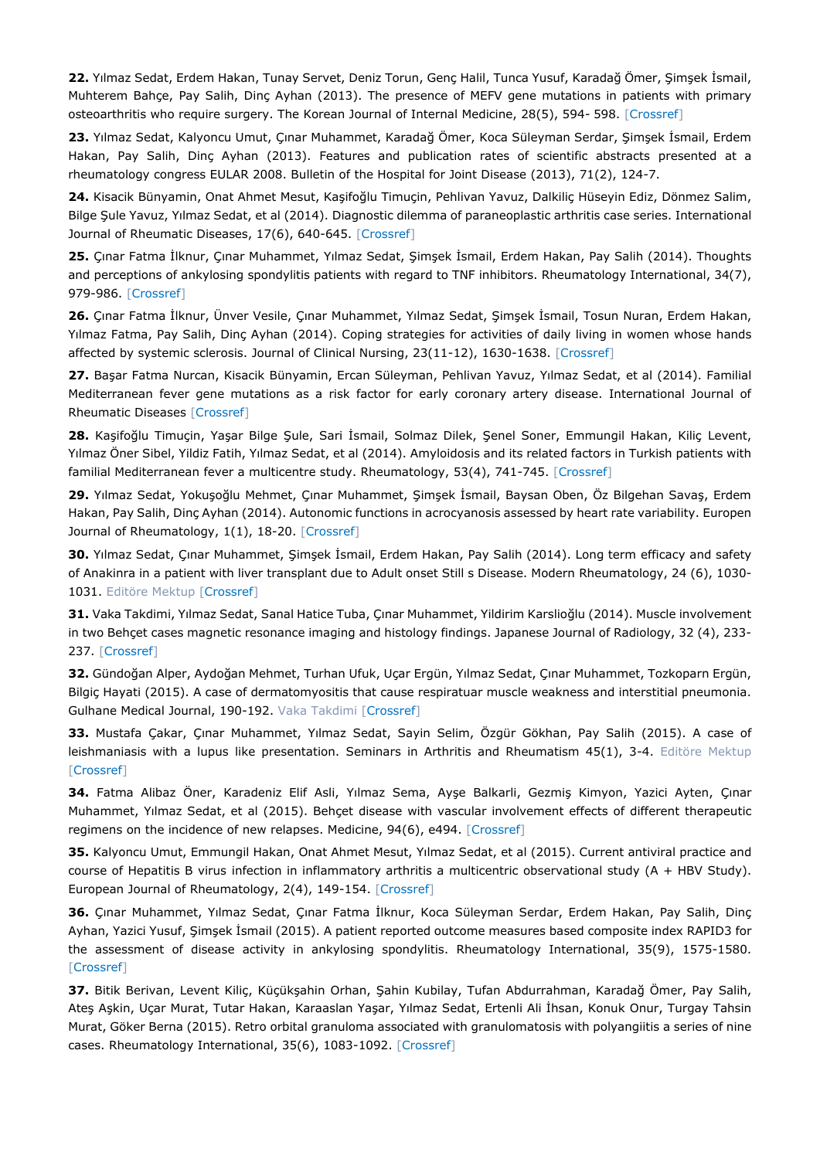**22.** Yılmaz Sedat, Erdem Hakan, Tunay Servet, Deniz Torun, Genç Halil, Tunca Yusuf, Karadağ Ömer, Şimşek İsmail, Muhterem Bahçe, Pay Salih, Dinç Ayhan (2013). The presence of MEFV gene mutations in patients with primary osteoarthritis who require surgery. The Korean Journal of Internal Medicine, 28(5), 594- 598. [\[Crossref\]](https://doi.org/10.3904/kjim.2013.28.5.594)

**23.** Yılmaz Sedat, Kalyoncu Umut, Çınar Muhammet, Karadağ Ömer, Koca Süleyman Serdar, Şimşek İsmail, Erdem Hakan, Pay Salih, Dinç Ayhan (2013). Features and publication rates of scientific abstracts presented at a rheumatology congress EULAR 2008. Bulletin of the Hospital for Joint Disease (2013), 71(2), 124-7.

**24.** Kisacik Bünyamin, Onat Ahmet Mesut, Kaşifoğlu Timuçin, Pehlivan Yavuz, Dalkiliç Hüseyin Ediz, Dönmez Salim, Bilge Şule Yavuz, Yılmaz Sedat, et al (2014). Diagnostic dilemma of paraneoplastic arthritis case series. International Journal of Rheumatic Diseases, 17(6), 640-645. [\[Crossref\]](https://doi.org/10.1111/1756-185X.12277)

**25.** Çınar Fatma İlknur, Çınar Muhammet, Yılmaz Sedat, Şimşek İsmail, Erdem Hakan, Pay Salih (2014). Thoughts and perceptions of ankylosing spondylitis patients with regard to TNF inhibitors. Rheumatology International, 34(7), 979-986. [\[Crossref\]](https://doi.org/10.1007/s00296-013-2931-9)

**26.** Çınar Fatma İlknur, Ünver Vesile, Çınar Muhammet, Yılmaz Sedat, Şimşek İsmail, Tosun Nuran, Erdem Hakan, Yılmaz Fatma, Pay Salih, Dinç Ayhan (2014). Coping strategies for activities of daily living in women whose hands affected by systemic sclerosis. Journal of Clinical Nursing, 23(11-12), 1630-1638. [\[Crossref\]](https://doi.org/10.1111/jocn.12283)

**27.** Başar Fatma Nurcan, Kisacik Bünyamin, Ercan Süleyman, Pehlivan Yavuz, Yılmaz Sedat, et al (2014). Familial Mediterranean fever gene mutations as a risk factor for early coronary artery disease. International Journal of Rheumatic Diseases [\[Crossref\]](https://doi.org/10.1111/1756-185X.12356)

**28.** Kaşifoğlu Timuçin, Yaşar Bilge Şule, Sari İsmail, Solmaz Dilek, Şenel Soner, Emmungil Hakan, Kiliç Levent, Yılmaz Öner Sibel, Yildiz Fatih, Yılmaz Sedat, et al (2014). Amyloidosis and its related factors in Turkish patients with familial Mediterranean fever a multicentre study. Rheumatology, 53(4), 741-745. [\[Crossref\]](https://doi.org/10.1093/rheumatology/ket400)

**29.** Yılmaz Sedat, Yokuşoğlu Mehmet, Çınar Muhammet, Şimşek İsmail, Baysan Oben, Öz Bilgehan Savaş, Erdem Hakan, Pay Salih, Dinç Ayhan (2014). Autonomic functions in acrocyanosis assessed by heart rate variability. Europen Journal of Rheumatology, 1(1), 18-20. [\[Crossref\]](https://doi.org/10.5152/eurjrheum.2014.005)

**30.** Yılmaz Sedat, Çınar Muhammet, Şimşek İsmail, Erdem Hakan, Pay Salih (2014). Long term efficacy and safety of Anakinra in a patient with liver transplant due to Adult onset Still s Disease. Modern Rheumatology, 24 (6), 1030- 1031. Editöre Mektup [\[Crossref\]](https://doi.org/10.3109/14397595.2013.854437)

**31.** Vaka Takdimi, Yılmaz Sedat, Sanal Hatice Tuba, Çınar Muhammet, Yildirim Karslioğlu (2014). Muscle involvement in two Behçet cases magnetic resonance imaging and histology findings. Japanese Journal of Radiology, 32 (4), 233- 237. [\[Crossref\]](https://doi.org/10.1007/s11604-014-0284-2)

**32.** Gündoğan Alper, Aydoğan Mehmet, Turhan Ufuk, Uçar Ergün, Yılmaz Sedat, Çınar Muhammet, Tozkoparn Ergün, Bilgiç Hayati (2015). A case of dermatomyositis that cause respiratuar muscle weakness and interstitial pneumonia. Gulhane Medical Journal, 190-192. Vaka Takdimi [\[Crossref\]](https://doi.org/10.5455/gulhane.31486)

**33.** Mustafa Çakar, Çınar Muhammet, Yılmaz Sedat, Sayin Selim, Özgür Gökhan, Pay Salih (2015). A case of leishmaniasis with a lupus like presentation. Seminars in Arthritis and Rheumatism 45(1), 3-4. Editöre Mektup [\[Crossref\]](https://doi.org/10.1016/j.semarthrit.2015.04.001)

**34.** Fatma Alibaz Öner, Karadeniz Elif Asli, Yılmaz Sema, Ayşe Balkarli, Gezmiş Kimyon, Yazici Ayten, Çınar Muhammet, Yılmaz Sedat, et al (2015). Behçet disease with vascular involvement effects of different therapeutic regimens on the incidence of new relapses. Medicine, 94(6), e494. [\[Crossref\]](https://doi.org/10.1097/MD.0000000000000494)

**35.** Kalyoncu Umut, Emmungil Hakan, Onat Ahmet Mesut, Yılmaz Sedat, et al (2015). Current antiviral practice and course of Hepatitis B virus infection in inflammatory arthritis a multicentric observational study (A + HBV Study). European Journal of Rheumatology, 2(4), 149-154. [\[Crossref\]](https://doi.org/10.5152/eurjrheum.2015.0111)

**36.** Çınar Muhammet, Yılmaz Sedat, Çınar Fatma İlknur, Koca Süleyman Serdar, Erdem Hakan, Pay Salih, Dinç Ayhan, Yazici Yusuf, Şimşek İsmail (2015). A patient reported outcome measures based composite index RAPID3 for the assessment of disease activity in ankylosing spondylitis. Rheumatology International, 35(9), 1575-1580. [\[Crossref\]](https://doi.org/10.1007/s00296-015-3256-7)

**37.** Bitik Berivan, Levent Kiliç, Küçükşahin Orhan, Şahin Kubilay, Tufan Abdurrahman, Karadağ Ömer, Pay Salih, Ateş Aşkin, Uçar Murat, Tutar Hakan, Karaaslan Yaşar, Yılmaz Sedat, Ertenli Ali İhsan, Konuk Onur, Turgay Tahsin Murat, Göker Berna (2015). Retro orbital granuloma associated with granulomatosis with polyangiitis a series of nine cases. Rheumatology International, 35(6), 1083-1092. [\[Crossref\]](https://doi.org/10.1007/s00296-014-3179-8)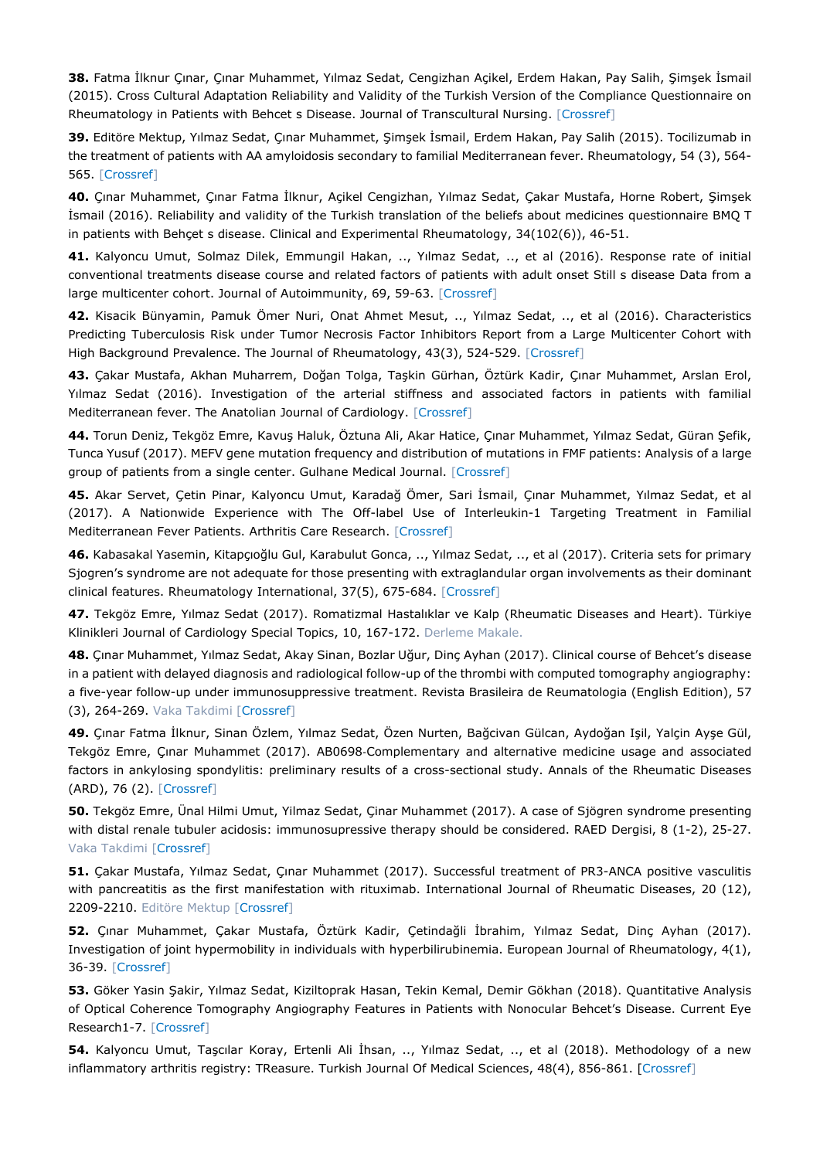**38.** Fatma İlknur Çınar, Çınar Muhammet, Yılmaz Sedat, Cengizhan Açikel, Erdem Hakan, Pay Salih, Şimşek İsmail (2015). Cross Cultural Adaptation Reliability and Validity of the Turkish Version of the Compliance Questionnaire on Rheumatology in Patients with Behcet s Disease. Journal of Transcultural Nursing. [\[Crossref\]](https://doi.org/10.1177/1043659615577699)

**39.** Editöre Mektup, Yılmaz Sedat, Çınar Muhammet, Şimşek İsmail, Erdem Hakan, Pay Salih (2015). Tocilizumab in the treatment of patients with AA amyloidosis secondary to familial Mediterranean fever. Rheumatology, 54 (3), 564- 565. [\[Crossref\]](https://doi.org/10.1093/rheumatology/keu474)

**40.** Çınar Muhammet, Çınar Fatma İlknur, Açikel Cengizhan, Yılmaz Sedat, Çakar Mustafa, Horne Robert, Şimşek İsmail (2016). Reliability and validity of the Turkish translation of the beliefs about medicines questionnaire BMQ T in patients with Behçet s disease. Clinical and Experimental Rheumatology, 34(102(6)), 46-51.

**41.** Kalyoncu Umut, Solmaz Dilek, Emmungil Hakan, .., Yılmaz Sedat, .., et al (2016). Response rate of initial conventional treatments disease course and related factors of patients with adult onset Still s disease Data from a large multicenter cohort. Journal of Autoimmunity, 69, 59-63. [\[Crossref\]](https://doi.org/10.1016/j.jaut.2016.02.010)

**42.** Kisacik Bünyamin, Pamuk Ömer Nuri, Onat Ahmet Mesut, .., Yılmaz Sedat, .., et al (2016). Characteristics Predicting Tuberculosis Risk under Tumor Necrosis Factor Inhibitors Report from a Large Multicenter Cohort with High Background Prevalence. The Journal of Rheumatology, 43(3), 524-529. [\[Crossref\]](https://doi.org/10.3899/jrheum.150177)

**43.** Çakar Mustafa, Akhan Muharrem, Doğan Tolga, Taşkin Gürhan, Öztürk Kadir, Çınar Muhammet, Arslan Erol, Yılmaz Sedat (2016). Investigation of the arterial stiffness and associated factors in patients with familial Mediterranean fever. The Anatolian Journal of Cardiology. [\[Crossref\]](https://doi.org/10.14744/AnatolJCardiol.2016.6985)

**44.** Torun Deniz, Tekgöz Emre, Kavuş Haluk, Öztuna Ali, Akar Hatice, Çınar Muhammet, Yılmaz Sedat, Güran Şefik, Tunca Yusuf (2017). MEFV gene mutation frequency and distribution of mutations in FMF patients: Analysis of a large group of patients from a single center. Gulhane Medical Journal. [\[Crossref\]](https://doi.org/10.5455/gulhane.261519)

**45.** Akar Servet, Çetin Pinar, Kalyoncu Umut, Karadağ Ömer, Sari İsmail, Çınar Muhammet, Yılmaz Sedat, et al (2017). A Nationwide Experience with The Off-label Use of Interleukin-1 Targeting Treatment in Familial Mediterranean Fever Patients. Arthritis Care Research. [\[Crossref\]](https://doi.org/10.1002/acr.23446)

**46.** Kabasakal Yasemin, Kitapçıoğlu Gul, Karabulut Gonca, .., Yılmaz Sedat, .., et al (2017). Criteria sets for primary Sjogren's syndrome are not adequate for those presenting with extraglandular organ involvements as their dominant clinical features. Rheumatology International, 37(5), 675-684. [\[Crossref\]](https://doi.org/10.1007/s00296-017-3691-8)

**47.** Tekgöz Emre, Yılmaz Sedat (2017). Romatizmal Hastalıklar ve Kalp (Rheumatic Diseases and Heart). Türkiye Klinikleri Journal of Cardiology Special Topics, 10, 167-172. Derleme Makale.

**48.** Çınar Muhammet, Yılmaz Sedat, Akay Sinan, Bozlar Uğur, Dinç Ayhan (2017). Clinical course of Behcet's disease in a patient with delayed diagnosis and radiological follow-up of the thrombi with computed tomography angiography: a five-year follow-up under immunosuppressive treatment. Revista Brasileira de Reumatologia (English Edition), 57 (3), 264-269. Vaka Takdimi [\[Crossref\]](https://doi.org/10.1016/j.rbre.2013.08.004)

**49.** Çınar Fatma İlknur, Sinan Özlem, Yılmaz Sedat, Özen Nurten, Bağcivan Gülcan, Aydoğan Işil, Yalçin Ayşe Gül, Tekgöz Emre, Çınar Muhammet (2017). AB0698‐Complementary and alternative medicine usage and associated factors in ankylosing spondylitis: preliminary results of a cross-sectional study. Annals of the Rheumatic Diseases (ARD), 76 (2). [\[Crossref\]](https://doi.org/10.1136/annrheumdis-2017-eular.4196)

**50.** Tekgöz Emre, Ünal Hilmi Umut, Yilmaz Sedat, Çinar Muhammet (2017). A case of Sjögren syndrome presenting with distal renale tubuler acidosis: immunosupressive therapy should be considered. RAED Dergisi, 8 (1-2), 25-27. Vaka Takdimi [\[Crossref\]](https://doi.org/10.2399/raed.16.83997)

**51.** Çakar Mustafa, Yılmaz Sedat, Çınar Muhammet (2017). Successful treatment of PR3-ANCA positive vasculitis with pancreatitis as the first manifestation with rituximab. International Journal of Rheumatic Diseases, 20 (12), 2209-2210. Editöre Mektup [\[Crossref\]](https://doi.org/10.1111/1756-185X.12850)

**52.** Çınar Muhammet, Çakar Mustafa, Öztürk Kadir, Çetindağli İbrahim, Yılmaz Sedat, Dinç Ayhan (2017). Investigation of joint hypermobility in individuals with hyperbilirubinemia. European Journal of Rheumatology, 4(1), 36-39. [\[Crossref\]](https://doi.org/10.5152/eurjrheum.2016.16051)

**53.** Göker Yasin Şakir, Yılmaz Sedat, Kiziltoprak Hasan, Tekin Kemal, Demir Gökhan (2018). Quantitative Analysis of Optical Coherence Tomography Angiography Features in Patients with Nonocular Behcet's Disease. Current Eye Research1-7. [\[Crossref\]](https://doi.org/10.1080/02713683.2018.1530361)

**54.** Kalyoncu Umut, Taşcılar Koray, Ertenli Ali İhsan, .., Yılmaz Sedat, .., et al (2018). Methodology of a new inflammatory arthritis registry: TReasure. Turkish Journal Of Medical Sciences, 48(4), 856-861. [\[Crossref\]](https://doi.org/10.3906/sag-1807-200)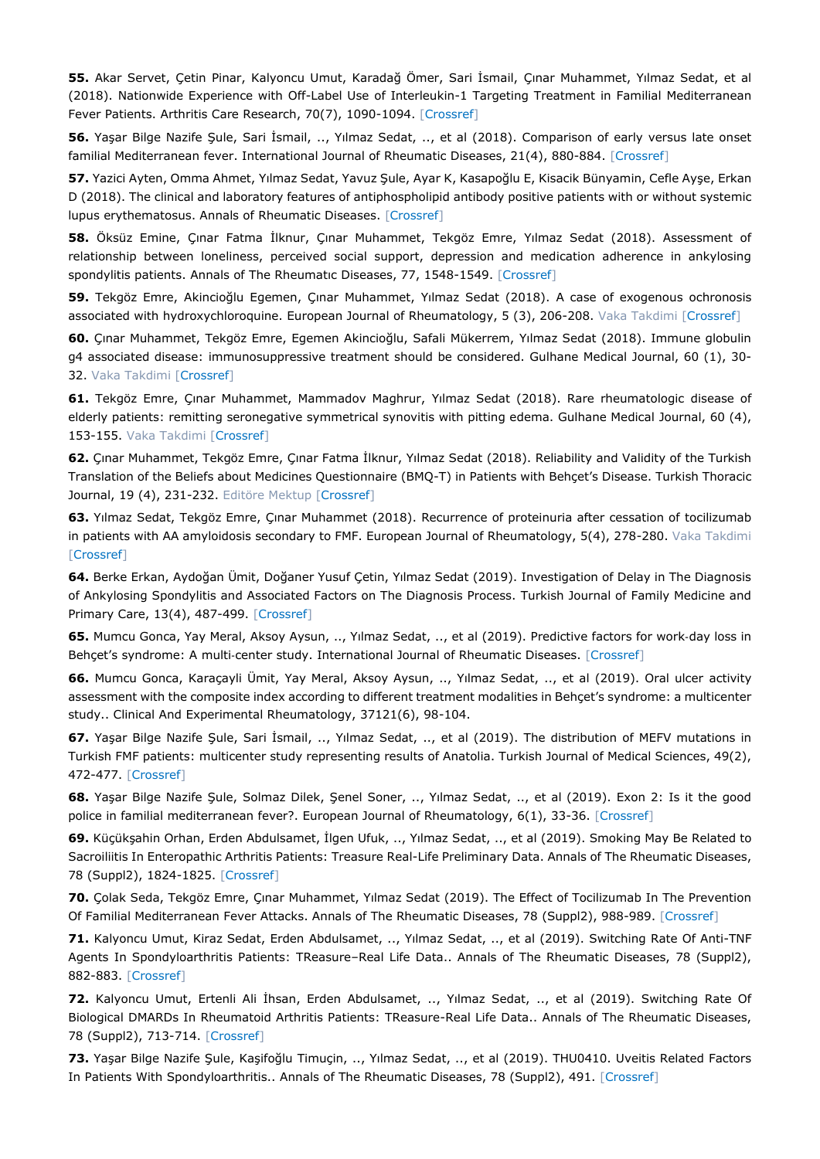**55.** Akar Servet, Çetin Pinar, Kalyoncu Umut, Karadağ Ömer, Sari İsmail, Çınar Muhammet, Yılmaz Sedat, et al (2018). Nationwide Experience with Off-Label Use of Interleukin-1 Targeting Treatment in Familial Mediterranean Fever Patients. Arthritis Care Research, 70(7), 1090-1094. [\[Crossref\]](https://doi.org/10.1002/acr.23446)

**56.** Yaşar Bilge Nazife Şule, Sari İsmail, .., Yılmaz Sedat, .., et al (2018). Comparison of early versus late onset familial Mediterranean fever. International Journal of Rheumatic Diseases, 21(4), 880-884. [\[Crossref\]](https://doi.org/10.1111/1756-185X.13259)

**57.** Yazici Ayten, Omma Ahmet, Yılmaz Sedat, Yavuz Şule, Ayar K, Kasapoğlu E, Kisacik Bünyamin, Cefle Ayşe, Erkan D (2018). The clinical and laboratory features of antiphospholipid antibody positive patients with or without systemic lupus erythematosus. Annals of Rheumatic Diseases. [\[Crossref\]](https://doi.org/10.1136/annrheumdis2018-eular.6354)

**58.** Öksüz Emine, Çınar Fatma İlknur, Çınar Muhammet, Tekgöz Emre, Yılmaz Sedat (2018). Assessment of relationship between loneliness, perceived social support, depression and medication adherence in ankylosing spondylitis patients. Annals of The Rheumatıc Diseases, 77, 1548-1549. [\[Crossref\]](https://doi.org/10.1136/annrheumdis2018-eular.5873)

**59.** Tekgöz Emre, Akincioğlu Egemen, Çınar Muhammet, Yılmaz Sedat (2018). A case of exogenous ochronosis associated with hydroxychloroquine. European Journal of Rheumatology, 5 (3), 206-208. Vaka Takdimi [\[Crossref\]](https://doi.org/10.5152/eurjrheum.2018.17190)

**60.** Çınar Muhammet, Tekgöz Emre, Egemen Akincioğlu, Safali Mükerrem, Yılmaz Sedat (2018). Immune globulin g4 associated disease: immunosuppressive treatment should be considered. Gulhane Medical Journal, 60 (1), 30- 32. Vaka Takdimi [\[Crossref\]](https://doi.org/10.26657/Gulhane.00013)

**61.** Tekgöz Emre, Çınar Muhammet, Mammadov Maghrur, Yılmaz Sedat (2018). Rare rheumatologic disease of elderly patients: remitting seronegative symmetrical synovitis with pitting edema. Gulhane Medical Journal, 60 (4), 153-155. Vaka Takdimi [\[Crossref\]](https://doi.org/10.26657/gulhane.00042)

**62.** Çınar Muhammet, Tekgöz Emre, Çınar Fatma İlknur, Yılmaz Sedat (2018). Reliability and Validity of the Turkish Translation of the Beliefs about Medicines Questionnaire (BMQ-T) in Patients with Behçet's Disease. Turkish Thoracic Journal, 19 (4), 231-232. Editöre Mektup [\[Crossref\]](https://doi.org/10.5152/TurkThoracJ.2018.180108)

**63.** Yılmaz Sedat, Tekgöz Emre, Çınar Muhammet (2018). Recurrence of proteinuria after cessation of tocilizumab in patients with AA amyloidosis secondary to FMF. European Journal of Rheumatology, 5(4), 278-280. Vaka Takdimi [\[Crossref\]](https://doi.org/10.5152/eurjrheum.2018.17183)

**64.** Berke Erkan, Aydoğan Ümit, Doğaner Yusuf Çetin, Yılmaz Sedat (2019). Investigation of Delay in The Diagnosis of Ankylosing Spondylitis and Associated Factors on The Diagnosis Process. Turkish Journal of Family Medicine and Primary Care, 13(4), 487-499. [\[Crossref\]](https://doi.org/10.21763/tjfmpc.651510)

**65.** Mumcu Gonca, Yay Meral, Aksoy Aysun, .., Yılmaz Sedat, .., et al (2019). Predictive factors for work‐day loss in Behçet's syndrome: A multi-center study. International Journal of Rheumatic Diseases. [\[Crossref\]](https://doi.org/10.1111/1756-185X.13771)

**66.** Mumcu Gonca, Karaçayli Ümit, Yay Meral, Aksoy Aysun, .., Yılmaz Sedat, .., et al (2019). Oral ulcer activity assessment with the composite index according to different treatment modalities in Behçet's syndrome: a multicenter study.. Clinical And Experimental Rheumatology, 37121(6), 98-104.

**67.** Yaşar Bilge Nazife Şule, Sari İsmail, .., Yılmaz Sedat, .., et al (2019). The distribution of MEFV mutations in Turkish FMF patients: multicenter study representing results of Anatolia. Turkish Journal of Medical Sciences, 49(2), 472-477. [\[Crossref\]](https://doi.org/10.3906/sag-1809-100)

**68.** Yaşar Bilge Nazife Şule, Solmaz Dilek, Şenel Soner, .., Yılmaz Sedat, .., et al (2019). Exon 2: Is it the good police in familial mediterranean fever?. European Journal of Rheumatology, 6(1), 33-36. [\[Crossref\]](https://doi.org/10.5152/eurjrheum.2018.18115)

**69.** Küçükşahin Orhan, Erden Abdulsamet, İlgen Ufuk, .., Yılmaz Sedat, .., et al (2019). Smoking May Be Related to Sacroiliitis In Enteropathic Arthritis Patients: Treasure Real-Life Preliminary Data. Annals of The Rheumatic Diseases, 78 (Suppl2), 1824-1825. [\[Crossref\]](https://doi.org/10.1136/annrheumdis-2019-eular.5888)

**70.** Çolak Seda, Tekgöz Emre, Çınar Muhammet, Yılmaz Sedat (2019). The Effect of Tocilizumab In The Prevention Of Familial Mediterranean Fever Attacks. Annals of The Rheumatic Diseases, 78 (Suppl2), 988-989. [\[Crossref\]](https://doi.org/10.1136/annrheumdis-2019-eular.3541)

**71.** Kalyoncu Umut, Kiraz Sedat, Erden Abdulsamet, .., Yılmaz Sedat, .., et al (2019). Switching Rate Of Anti-TNF Agents In Spondyloarthritis Patients: TReasure–Real Life Data.. Annals of The Rheumatic Diseases, 78 (Suppl2), 882-883. [\[Crossref\]](https://doi.org/10.1136/annrheumdis-2019-eular.5285)

**72.** Kalyoncu Umut, Ertenli Ali İhsan, Erden Abdulsamet, .., Yılmaz Sedat, .., et al (2019). Switching Rate Of Biological DMARDs In Rheumatoid Arthritis Patients: TReasure-Real Life Data.. Annals of The Rheumatic Diseases, 78 (Suppl2), 713-714. [\[Crossref\]](https://doi.org/10.1136/annrheumdis-2019-eular.5279)

**73.** Yaşar Bilge Nazife Şule, Kaşifoğlu Timuçin, .., Yılmaz Sedat, .., et al (2019). THU0410. Uveitis Related Factors In Patients With Spondyloarthritis.. Annals of The Rheumatic Diseases, 78 (Suppl2), 491. [\[Crossref\]](https://doi.org/10.1136/annrheumdis-2019-eular.6147)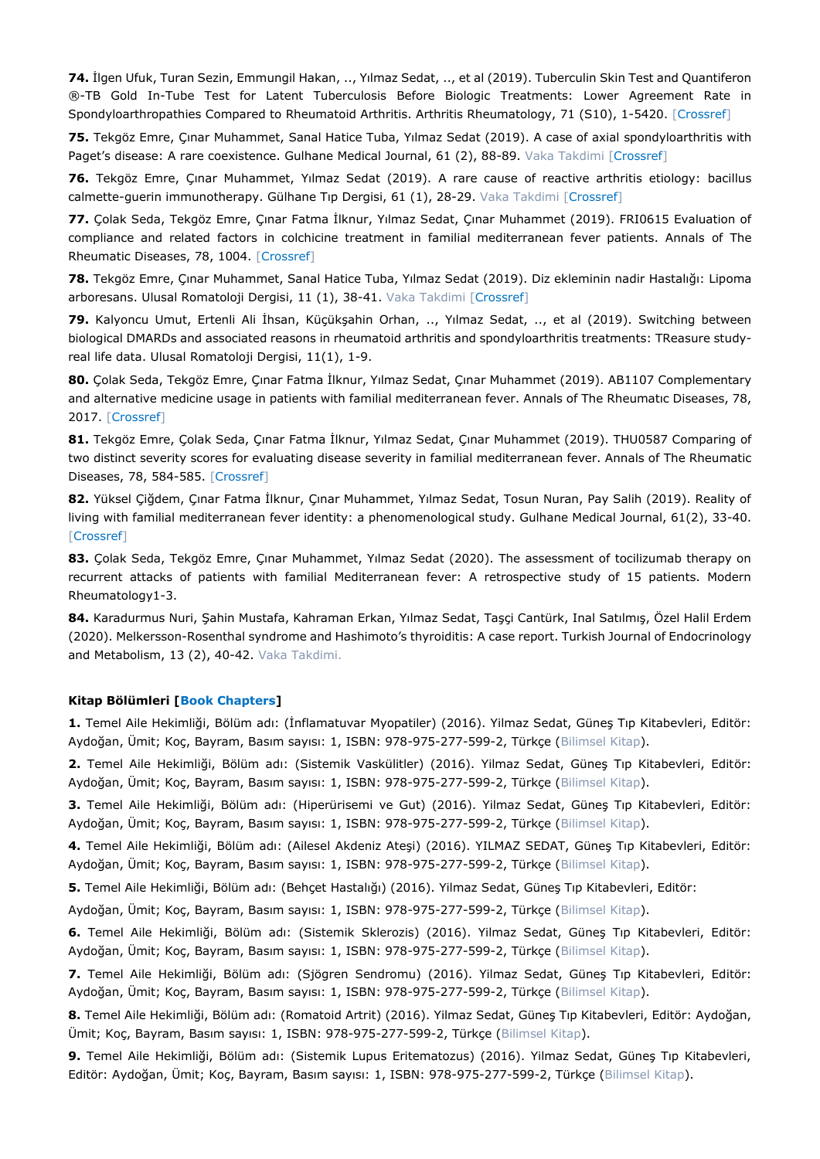**74.** İlgen Ufuk, Turan Sezin, Emmungil Hakan, .., Yılmaz Sedat, .., et al (2019). Tuberculin Skin Test and Quantiferon ®-TB Gold In-Tube Test for Latent Tuberculosis Before Biologic Treatments: Lower Agreement Rate in Spondyloarthropathies Compared to Rheumatoid Arthritis. Arthritis Rheumatology, 71 (S10), 1-5420. [\[Crossref\]](https://doi.org/10.1002/art.41108)

**75.** Tekgöz Emre, Çınar Muhammet, Sanal Hatice Tuba, Yılmaz Sedat (2019). A case of axial spondyloarthritis with Paget's disease: A rare coexistence. Gulhane Medical Journal, 61 (2), 88-89. Vaka Takdimi [\[Crossref\]](https://doi.org/10.26657/gulhane.00061)

**76.** Tekgöz Emre, Çınar Muhammet, Yılmaz Sedat (2019). A rare cause of reactive arthritis etiology: bacillus calmette-guerin immunotherapy. Gülhane Tıp Dergisi, 61 (1), 28-29. Vaka Takdimi [\[Crossref\]](https://doi.org/10.26657/gulhane.00049)

**77.** Çolak Seda, Tekgöz Emre, Çınar Fatma İlknur, Yılmaz Sedat, Çınar Muhammet (2019). FRI0615 Evaluation of compliance and related factors in colchicine treatment in familial mediterranean fever patients. Annals of The Rheumatic Diseases, 78, 1004. [\[Crossref\]](https://doi.org/10.1136/annrheumdis-2019-eular.3545)

**78.** Tekgöz Emre, Çınar Muhammet, Sanal Hatice Tuba, Yılmaz Sedat (2019). Diz ekleminin nadir Hastalığı: Lipoma arboresans. Ulusal Romatoloji Dergisi, 11 (1), 38-41. Vaka Takdimi [\[Crossref\]](https://doi.org/10.2399/raed.19.16035)

**79.** Kalyoncu Umut, Ertenli Ali İhsan, Küçükşahin Orhan, .., Yılmaz Sedat, .., et al (2019). Switching between biological DMARDs and associated reasons in rheumatoid arthritis and spondyloarthritis treatments: TReasure studyreal life data. Ulusal Romatoloji Dergisi, 11(1), 1-9.

**80.** Çolak Seda, Tekgöz Emre, Çınar Fatma İlknur, Yılmaz Sedat, Çınar Muhammet (2019). AB1107 Complementary and alternative medicine usage in patients with familial mediterranean fever. Annals of The Rheumatıc Diseases, 78, 2017. [\[Crossref\]](https://doi.org/10.1136/annrheumdis-2019-eular.3717)

**81.** Tekgöz Emre, Çolak Seda, Çınar Fatma İlknur, Yılmaz Sedat, Çınar Muhammet (2019). THU0587 Comparing of two distinct severity scores for evaluating disease severity in familial mediterranean fever. Annals of The Rheumatic Diseases, 78, 584-585. [\[Crossref\]](https://doi.org/10.1136/annrheumdis-2019-eular.3691)

**82.** Yüksel Çiğdem, Çınar Fatma İlknur, Çınar Muhammet, Yılmaz Sedat, Tosun Nuran, Pay Salih (2019). Reality of living with familial mediterranean fever identity: a phenomenological study. Gulhane Medical Journal, 61(2), 33-40. [\[Crossref\]](https://doi.org/10.26657/gulhane.00051)

**83.** Çolak Seda, Tekgöz Emre, Çınar Muhammet, Yılmaz Sedat (2020). The assessment of tocilizumab therapy on recurrent attacks of patients with familial Mediterranean fever: A retrospective study of 15 patients. Modern Rheumatology1-3.

**84.** Karadurmus Nuri, Şahin Mustafa, Kahraman Erkan, Yılmaz Sedat, Taşçi Cantürk, Inal Satılmış, Özel Halil Erdem (2020). Melkersson-Rosenthal syndrome and Hashimoto's thyroiditis: A case report. Turkish Journal of Endocrinology and Metabolism, 13 (2), 40-42. Vaka Takdimi.

#### **Kitap Bölümleri [Book Chapters]**

**1.** Temel Aile Hekimliği, Bölüm adı: (İnflamatuvar Myopatiler) (2016). Yilmaz Sedat, Güneş Tıp Kitabevleri, Editör: Aydoğan, Ümit; Koç, Bayram, Basım sayısı: 1, ISBN: 978-975-277-599-2, Türkçe (Bilimsel Kitap).

**2.** Temel Aile Hekimliği, Bölüm adı: (Sistemik Vaskülitler) (2016). Yilmaz Sedat, Güneş Tıp Kitabevleri, Editör: Aydoğan, Ümit; Koç, Bayram, Basım sayısı: 1, ISBN: 978-975-277-599-2, Türkçe (Bilimsel Kitap).

**3.** Temel Aile Hekimliği, Bölüm adı: (Hiperürisemi ve Gut) (2016). Yilmaz Sedat, Güneş Tıp Kitabevleri, Editör: Aydoğan, Ümit; Koç, Bayram, Basım sayısı: 1, ISBN: 978-975-277-599-2, Türkçe (Bilimsel Kitap).

**4.** Temel Aile Hekimliği, Bölüm adı: (Ailesel Akdeniz Ateşi) (2016). YILMAZ SEDAT, Güneş Tıp Kitabevleri, Editör: Aydoğan, Ümit; Koç, Bayram, Basım sayısı: 1, ISBN: 978-975-277-599-2, Türkçe (Bilimsel Kitap).

**5.** Temel Aile Hekimliği, Bölüm adı: (Behçet Hastalığı) (2016). Yilmaz Sedat, Güneş Tıp Kitabevleri, Editör:

Aydoğan, Ümit; Koç, Bayram, Basım sayısı: 1, ISBN: 978-975-277-599-2, Türkçe (Bilimsel Kitap).

**6.** Temel Aile Hekimliği, Bölüm adı: (Sistemik Sklerozis) (2016). Yilmaz Sedat, Güneş Tıp Kitabevleri, Editör: Aydoğan, Ümit; Koç, Bayram, Basım sayısı: 1, ISBN: 978-975-277-599-2, Türkçe (Bilimsel Kitap).

**7.** Temel Aile Hekimliği, Bölüm adı: (Sjögren Sendromu) (2016). Yilmaz Sedat, Güneş Tıp Kitabevleri, Editör: Aydoğan, Ümit; Koç, Bayram, Basım sayısı: 1, ISBN: 978-975-277-599-2, Türkçe (Bilimsel Kitap).

**8.** Temel Aile Hekimliği, Bölüm adı: (Romatoid Artrit) (2016). Yilmaz Sedat, Güneş Tıp Kitabevleri, Editör: Aydoğan, Ümit; Koç, Bayram, Basım sayısı: 1, ISBN: 978-975-277-599-2, Türkçe (Bilimsel Kitap).

**9.** Temel Aile Hekimliği, Bölüm adı: (Sistemik Lupus Eritematozus) (2016). Yilmaz Sedat, Güneş Tıp Kitabevleri, Editör: Aydoğan, Ümit; Koç, Bayram, Basım sayısı: 1, ISBN: 978-975-277-599-2, Türkçe (Bilimsel Kitap).